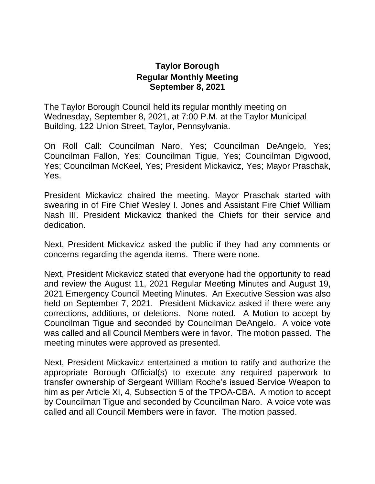## **Taylor Borough Regular Monthly Meeting September 8, 2021**

The Taylor Borough Council held its regular monthly meeting on Wednesday, September 8, 2021, at 7:00 P.M. at the Taylor Municipal Building, 122 Union Street, Taylor, Pennsylvania.

On Roll Call: Councilman Naro, Yes; Councilman DeAngelo, Yes; Councilman Fallon, Yes; Councilman Tigue, Yes; Councilman Digwood, Yes; Councilman McKeel, Yes; President Mickavicz, Yes; Mayor Praschak, Yes.

President Mickavicz chaired the meeting. Mayor Praschak started with swearing in of Fire Chief Wesley I. Jones and Assistant Fire Chief William Nash III. President Mickavicz thanked the Chiefs for their service and dedication.

Next, President Mickavicz asked the public if they had any comments or concerns regarding the agenda items. There were none.

Next, President Mickavicz stated that everyone had the opportunity to read and review the August 11, 2021 Regular Meeting Minutes and August 19, 2021 Emergency Council Meeting Minutes. An Executive Session was also held on September 7, 2021. President Mickavicz asked if there were any corrections, additions, or deletions. None noted. A Motion to accept by Councilman Tigue and seconded by Councilman DeAngelo. A voice vote was called and all Council Members were in favor. The motion passed. The meeting minutes were approved as presented.

Next, President Mickavicz entertained a motion to ratify and authorize the appropriate Borough Official(s) to execute any required paperwork to transfer ownership of Sergeant William Roche's issued Service Weapon to him as per Article XI, 4, Subsection 5 of the TPOA-CBA. A motion to accept by Councilman Tigue and seconded by Councilman Naro. A voice vote was called and all Council Members were in favor. The motion passed.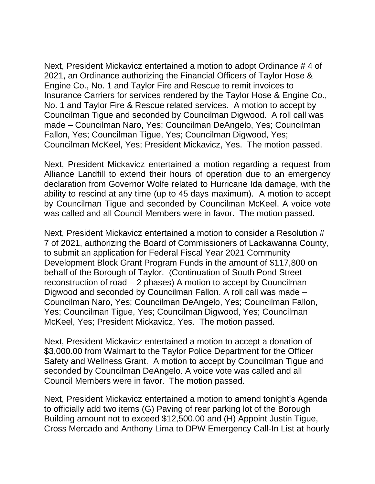Next, President Mickavicz entertained a motion to adopt Ordinance # 4 of 2021, an Ordinance authorizing the Financial Officers of Taylor Hose & Engine Co., No. 1 and Taylor Fire and Rescue to remit invoices to Insurance Carriers for services rendered by the Taylor Hose & Engine Co., No. 1 and Taylor Fire & Rescue related services. A motion to accept by Councilman Tigue and seconded by Councilman Digwood. A roll call was made – Councilman Naro, Yes; Councilman DeAngelo, Yes; Councilman Fallon, Yes; Councilman Tigue, Yes; Councilman Digwood, Yes; Councilman McKeel, Yes; President Mickavicz, Yes. The motion passed.

Next, President Mickavicz entertained a motion regarding a request from Alliance Landfill to extend their hours of operation due to an emergency declaration from Governor Wolfe related to Hurricane Ida damage, with the ability to rescind at any time (up to 45 days maximum). A motion to accept by Councilman Tigue and seconded by Councilman McKeel. A voice vote was called and all Council Members were in favor. The motion passed.

Next, President Mickavicz entertained a motion to consider a Resolution # 7 of 2021, authorizing the Board of Commissioners of Lackawanna County, to submit an application for Federal Fiscal Year 2021 Community Development Block Grant Program Funds in the amount of \$117,800 on behalf of the Borough of Taylor. (Continuation of South Pond Street reconstruction of road – 2 phases) A motion to accept by Councilman Digwood and seconded by Councilman Fallon. A roll call was made – Councilman Naro, Yes; Councilman DeAngelo, Yes; Councilman Fallon, Yes; Councilman Tigue, Yes; Councilman Digwood, Yes; Councilman McKeel, Yes; President Mickavicz, Yes. The motion passed.

Next, President Mickavicz entertained a motion to accept a donation of \$3,000.00 from Walmart to the Taylor Police Department for the Officer Safety and Wellness Grant. A motion to accept by Councilman Tigue and seconded by Councilman DeAngelo. A voice vote was called and all Council Members were in favor. The motion passed.

Next, President Mickavicz entertained a motion to amend tonight's Agenda to officially add two items (G) Paving of rear parking lot of the Borough Building amount not to exceed \$12,500.00 and (H) Appoint Justin Tigue, Cross Mercado and Anthony Lima to DPW Emergency Call-In List at hourly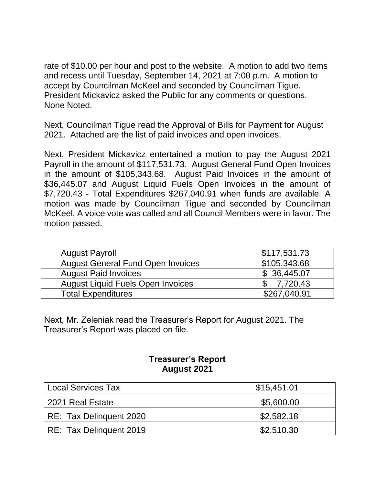rate of \$10.00 per hour and post to the website. A motion to add two items and recess until Tuesday, September 14, 2021 at 7:00 p.m. A motion to accept by Councilman McKeel and seconded by Councilman Tigue. President Mickavicz asked the Public for any comments or questions. None Noted.

Next, Councilman Tigue read the Approval of Bills for Payment for August 2021. Attached are the list of paid invoices and open invoices.

Next, President Mickavicz entertained a motion to pay the August 2021 Payroll in the amount of \$117,531.73. August General Fund Open Invoices in the amount of \$105,343.68. August Paid Invoices in the amount of \$36,445.07 and August Liquid Fuels Open Invoices in the amount of \$7,720.43 - Total Expenditures \$267,040.91 when funds are available. A motion was made by Councilman Tigue and seconded by Councilman McKeel. A voice vote was called and all Council Members were in favor. The motion passed.

| <b>August Payroll</b>                    | \$117,531.73 |
|------------------------------------------|--------------|
| <b>August General Fund Open Invoices</b> | \$105,343.68 |
| <b>August Paid Invoices</b>              | \$36,445.07  |
| <b>August Liquid Fuels Open Invoices</b> | 7,720.43     |
| <b>Total Expenditures</b>                | \$267,040.91 |

Next, Mr. Zeleniak read the Treasurer's Report for August 2021. The Treasurer's Report was placed on file.

## **Treasurer's Report August 2021**

| Local Services Tax      | \$15,451.01 |
|-------------------------|-------------|
| 2021 Real Estate        | \$5,600.00  |
| RE: Tax Delinquent 2020 | \$2,582.18  |
| RE: Tax Delinquent 2019 | \$2,510.30  |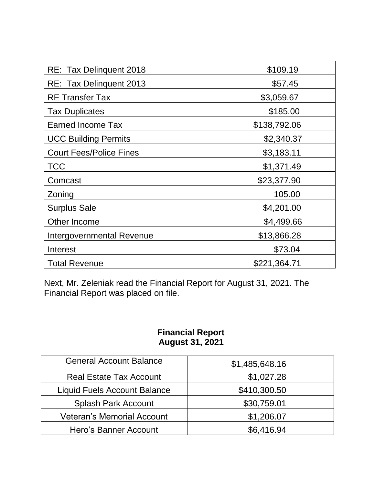| RE: Tax Delinquent 2018        | \$109.19     |
|--------------------------------|--------------|
| RE: Tax Delinquent 2013        | \$57.45      |
| <b>RE</b> Transfer Tax         | \$3,059.67   |
| <b>Tax Duplicates</b>          | \$185.00     |
| <b>Earned Income Tax</b>       | \$138,792.06 |
| <b>UCC Building Permits</b>    | \$2,340.37   |
| <b>Court Fees/Police Fines</b> | \$3,183.11   |
| TCC                            | \$1,371.49   |
| Comcast                        | \$23,377.90  |
| Zoning                         | 105.00       |
| <b>Surplus Sale</b>            | \$4,201.00   |
| Other Income                   | \$4,499.66   |
| Intergovernmental Revenue      | \$13,866.28  |
| Interest                       | \$73.04      |
| <b>Total Revenue</b>           | \$221,364.71 |

Next, Mr. Zeleniak read the Financial Report for August 31, 2021. The Financial Report was placed on file.

## **Financial Report August 31, 2021**

| <b>General Account Balance</b>      | \$1,485,648.16 |
|-------------------------------------|----------------|
| <b>Real Estate Tax Account</b>      | \$1,027.28     |
| <b>Liquid Fuels Account Balance</b> | \$410,300.50   |
| <b>Splash Park Account</b>          | \$30,759.01    |
| <b>Veteran's Memorial Account</b>   | \$1,206.07     |
| Hero's Banner Account               | \$6,416.94     |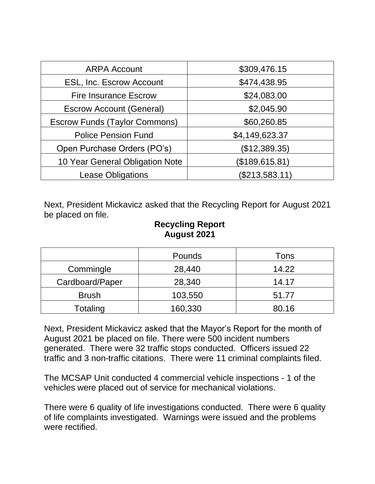| <b>ARPA Account</b>                  | \$309,476.15   |  |
|--------------------------------------|----------------|--|
| ESL, Inc. Escrow Account             | \$474,438.95   |  |
| <b>Fire Insurance Escrow</b>         | \$24,083.00    |  |
| <b>Escrow Account (General)</b>      | \$2,045.90     |  |
| <b>Escrow Funds (Taylor Commons)</b> | \$60,260.85    |  |
| <b>Police Pension Fund</b>           | \$4,149,623.37 |  |
| Open Purchase Orders (PO's)          | (\$12,389.35)  |  |
| 10 Year General Obligation Note      | (\$189,615.81) |  |
| <b>Lease Obligations</b>             | (\$213,583.11) |  |

Next, President Mickavicz asked that the Recycling Report for August 2021 be placed on file.

## **Recycling Report August 2021**

|                 | Pounds  | Tons  |
|-----------------|---------|-------|
| Commingle       | 28,440  | 14.22 |
| Cardboard/Paper | 28,340  | 14.17 |
| <b>Brush</b>    | 103,550 | 51.77 |
| Totaling        | 160,330 | 80.16 |

Next, President Mickavicz asked that the Mayor's Report for the month of August 2021 be placed on file. There were 500 incident numbers generated. There were 32 traffic stops conducted. Officers issued 22 traffic and 3 non-traffic citations. There were 11 criminal complaints filed.

The MCSAP Unit conducted 4 commercial vehicle inspections - 1 of the vehicles were placed out of service for mechanical violations.

There were 6 quality of life investigations conducted. There were 6 quality of life complaints investigated. Warnings were issued and the problems were rectified.